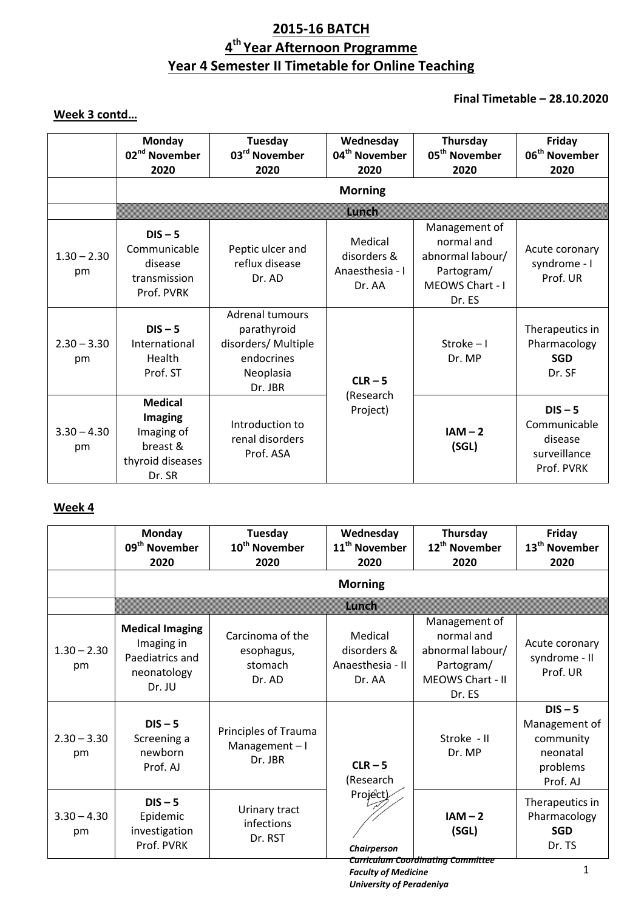# **2015-16 BATCH 4 th Year Afternoon Programme Year 4 Semester II Timetable for Online Teaching**

## **Final Timetable – 28.10.2020**

## **Week 3 contd…**

|                     | <b>Monday</b><br>02 <sup>nd</sup> November<br>2020                                       | <b>Tuesday</b><br>03 <sup>rd</sup> November<br>2020                                         | Wednesday<br>04 <sup>th</sup> November<br>2020      | Thursday<br>05 <sup>th</sup> November<br>2020                                              | Friday<br>06 <sup>th</sup> November<br>2020                        |
|---------------------|------------------------------------------------------------------------------------------|---------------------------------------------------------------------------------------------|-----------------------------------------------------|--------------------------------------------------------------------------------------------|--------------------------------------------------------------------|
|                     |                                                                                          |                                                                                             | <b>Morning</b>                                      |                                                                                            |                                                                    |
|                     |                                                                                          |                                                                                             | <b>Burgh</b>                                        |                                                                                            |                                                                    |
| $1.30 - 2.30$<br>pm | $DIS - 5$<br>Communicable<br>disease<br>transmission<br>Prof. PVRK                       | Peptic ulcer and<br>reflux disease<br>Dr. AD                                                | Medical<br>disorders &<br>Anaesthesia - I<br>Dr. AA | Management of<br>normal and<br>abnormal labour/<br>Partogram/<br>MEOWS Chart - I<br>Dr. ES | Acute coronary<br>syndrome - I<br>Prof. UR                         |
| $2.30 - 3.30$<br>pm | $DIS - 5$<br>International<br>Health<br>Prof. ST                                         | Adrenal tumours<br>parathyroid<br>disorders/ Multiple<br>endocrines<br>Neoplasia<br>Dr. JBR | $CLR - 5$<br>(Research<br>Project)                  | Stroke $-1$<br>Dr. MP                                                                      | Therapeutics in<br>Pharmacology<br><b>SGD</b><br>Dr. SF            |
| $3.30 - 4.30$<br>pm | <b>Medical</b><br><b>Imaging</b><br>Imaging of<br>breast &<br>thyroid diseases<br>Dr. SR | Introduction to<br>renal disorders<br>Prof. ASA                                             |                                                     | $IAM - 2$<br>(SGL)                                                                         | $DIS - 5$<br>Communicable<br>disease<br>surveillance<br>Prof. PVRK |

## **Week 4**

|                     | Monday<br>09 <sup>th</sup> November<br>2020                                      | Tuesday<br>10 <sup>th</sup> November<br>2020        | Wednesday<br>11 <sup>th</sup> November<br>2020       | Thursday<br>12 <sup>th</sup> November<br>2020                                               | Friday<br>13 <sup>th</sup> November<br>2020                                 |
|---------------------|----------------------------------------------------------------------------------|-----------------------------------------------------|------------------------------------------------------|---------------------------------------------------------------------------------------------|-----------------------------------------------------------------------------|
|                     |                                                                                  |                                                     | <b>Morning</b>                                       |                                                                                             |                                                                             |
|                     |                                                                                  |                                                     | Windi                                                |                                                                                             |                                                                             |
| $1.30 - 2.30$<br>pm | <b>Medical Imaging</b><br>Imaging in<br>Paediatrics and<br>neonatology<br>Dr. JU | Carcinoma of the<br>esophagus,<br>stomach<br>Dr. AD | Medical<br>disorders &<br>Anaesthesia - II<br>Dr. AA | Management of<br>normal and<br>abnormal labour/<br>Partogram/<br>MEOWS Chart - II<br>Dr. ES | Acute coronary<br>syndrome - II<br>Prof. UR                                 |
| $2.30 - 3.30$<br>pm | $DIS - 5$<br>Screening a<br>newborn<br>Prof. AJ                                  | Principles of Trauma<br>Management $-1$<br>Dr. JBR  | $CLR - 5$<br>(Research<br>Project)<br>Chairperson    | Stroke - II<br>Dr. MP                                                                       | $DIS - 5$<br>Management of<br>community<br>neonatal<br>problems<br>Prof. AJ |
| $3.30 - 4.30$<br>pm | $DIS - 5$<br>Epidemic<br>investigation<br>Prof. PVRK                             | Urinary tract<br>infections<br>Dr. RST              |                                                      | $IAM - 2$<br>(SGL)                                                                          | Therapeutics in<br>Pharmacology<br><b>SGD</b><br>Dr. TS                     |
|                     |                                                                                  |                                                     |                                                      | <b>Curriculum Coordinating Committee</b>                                                    | 1                                                                           |

*Faculty of Medicine University of Peradeniya*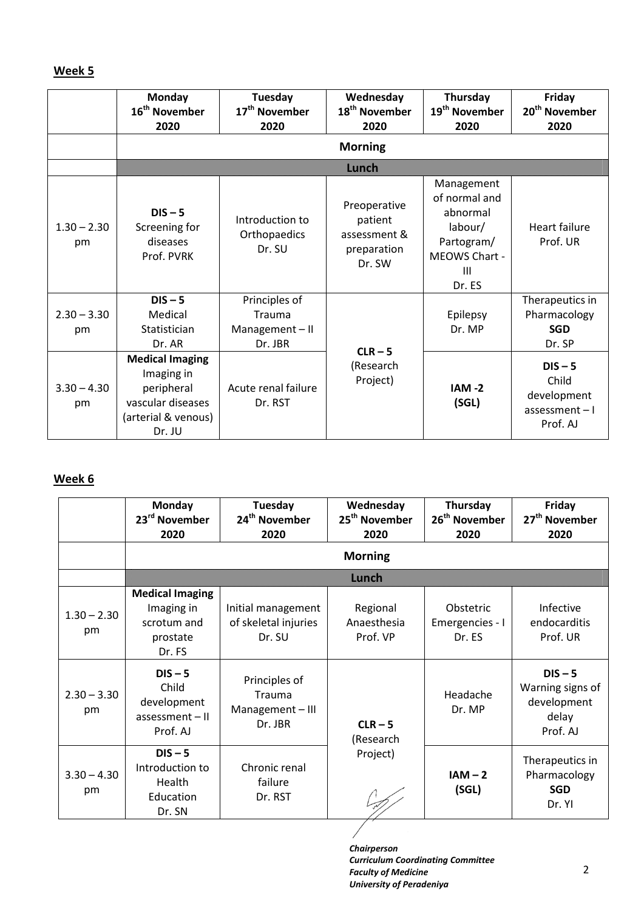### **Week 5**

|                     | Monday<br>16 <sup>th</sup> November<br>2020                                                              | Tuesday<br>17 <sup>th</sup> November<br>2020        | Wednesday<br>18 <sup>th</sup> November<br>2020                   | Thursday<br>19 <sup>th</sup> November<br>2020                                                    | Friday<br>20 <sup>th</sup> November<br>2020                       |
|---------------------|----------------------------------------------------------------------------------------------------------|-----------------------------------------------------|------------------------------------------------------------------|--------------------------------------------------------------------------------------------------|-------------------------------------------------------------------|
|                     |                                                                                                          |                                                     | <b>Morning</b>                                                   |                                                                                                  |                                                                   |
|                     |                                                                                                          |                                                     | Lunch                                                            |                                                                                                  |                                                                   |
| $1.30 - 2.30$<br>pm | $DIS - 5$<br>Screening for<br>diseases<br>Prof. PVRK                                                     | Introduction to<br>Orthopaedics<br>Dr. SU           | Preoperative<br>patient<br>assessment &<br>preparation<br>Dr. SW | Management<br>of normal and<br>abnormal<br>labour/<br>Partogram/<br>MEOWS Chart -<br>Ш<br>Dr. ES | <b>Heart failure</b><br>Prof. UR                                  |
| $2.30 - 3.30$<br>pm | $DIS - 5$<br>Medical<br>Statistician<br>Dr. AR                                                           | Principles of<br>Trauma<br>Management-II<br>Dr. JBR |                                                                  | Epilepsy<br>Dr. MP                                                                               | Therapeutics in<br>Pharmacology<br><b>SGD</b><br>Dr. SP           |
| $3.30 - 4.30$<br>pm | <b>Medical Imaging</b><br>Imaging in<br>peripheral<br>vascular diseases<br>(arterial & venous)<br>Dr. JU | Acute renal failure<br>Dr. RST                      | $CLR - 5$<br>(Research<br>Project)                               | $IAM -2$<br>(SGL)                                                                                | $DIS - 5$<br>Child<br>development<br>$assessment - I$<br>Prof. AJ |

## **Week 6**

|                     | <b>Monday</b><br>23 <sup>rd</sup> November<br>2020                        | Tuesday<br>24 <sup>th</sup> November<br>2020         | Wednesday<br>25 <sup>th</sup> November<br>2020 | Thursday<br>26 <sup>th</sup> November<br>2020 | Friday<br>27 <sup>th</sup> November<br>2020                       |
|---------------------|---------------------------------------------------------------------------|------------------------------------------------------|------------------------------------------------|-----------------------------------------------|-------------------------------------------------------------------|
|                     |                                                                           |                                                      | <b>Morning</b>                                 |                                               |                                                                   |
|                     |                                                                           |                                                      | man                                            |                                               |                                                                   |
| $1.30 - 2.30$<br>pm | <b>Medical Imaging</b><br>Imaging in<br>scrotum and<br>prostate<br>Dr. FS | Initial management<br>of skeletal injuries<br>Dr. SU | Regional<br>Anaesthesia<br>Prof. VP            | Obstetric<br>Emergencies - I<br>Dr. ES        | <b>Infective</b><br>endocarditis<br>Prof. UR                      |
| $2.30 - 3.30$<br>pm | $DIS - 5$<br>Child<br>development<br>$assessment - II$<br>Prof. AJ        | Principles of<br>Trauma<br>Management-III<br>Dr. JBR | $CLR - 5$<br>(Research<br>Project)             | Headache<br>Dr. MP                            | $DIS - 5$<br>Warning signs of<br>development<br>delay<br>Prof. AJ |
| $3.30 - 4.30$<br>pm | $DIS - 5$<br>Introduction to<br>Health<br>Education<br>Dr. SN             | Chronic renal<br>failure<br>Dr. RST                  |                                                | $IAM - 2$<br>(SGL)                            | Therapeutics in<br>Pharmacology<br><b>SGD</b><br>Dr. YI           |

 $\overline{1}$ 

*Chairperson Curriculum Coordinating Committee Faculty of Medicine University of Peradeniya*